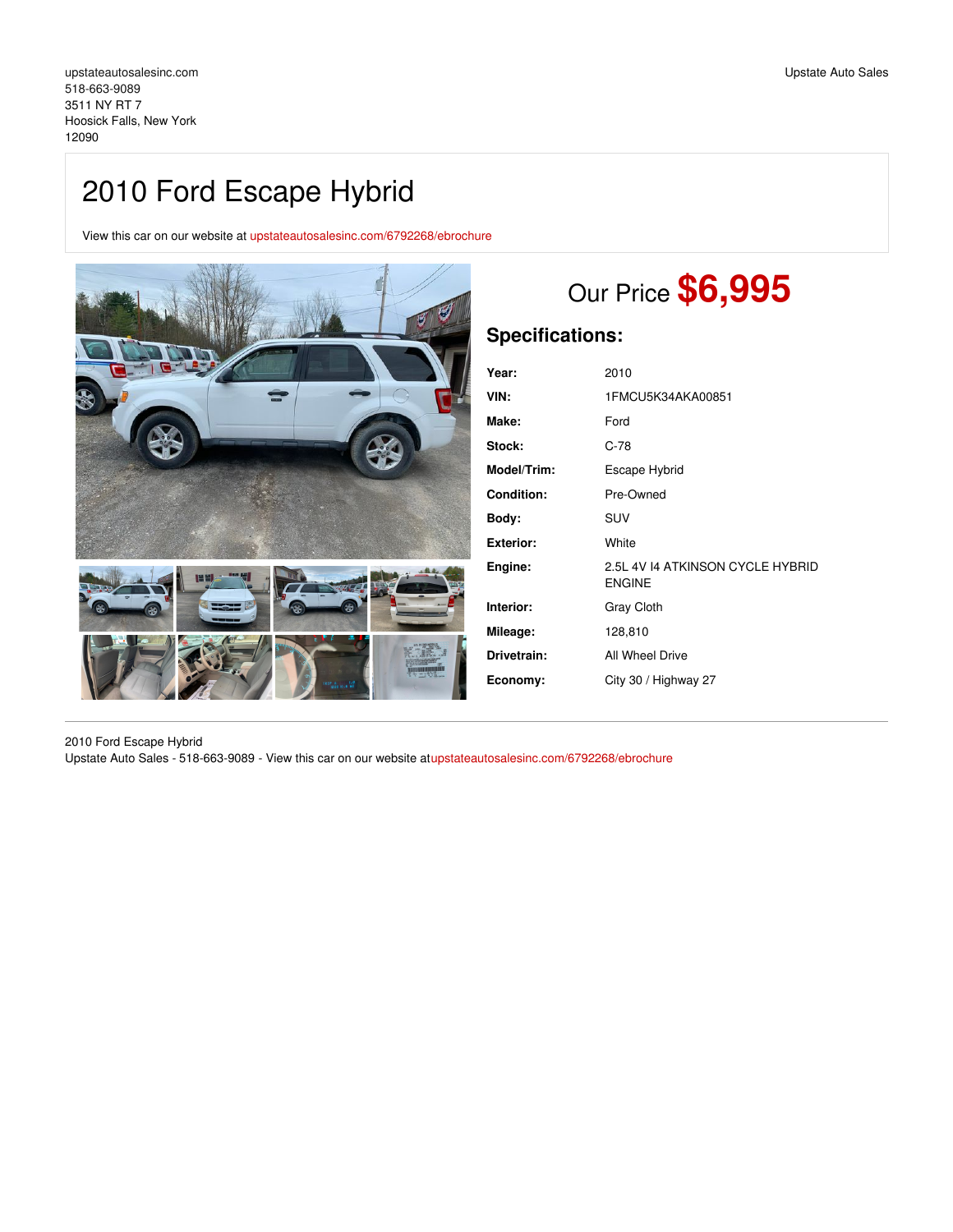View this car on our website at [upstateautosalesinc.com/6792268/ebrochure](https://upstateautosalesinc.com/vehicle/6792268/2010-ford-escape-hybrid-hoosick-falls-new-york-12090/6792268/ebrochure)



# Our Price **\$6,995**

# **Specifications:**

| Year:             | 2010                                              |
|-------------------|---------------------------------------------------|
| VIN:              | 1FMCU5K34AKA00851                                 |
| Make:             | Ford                                              |
| Stock:            | $C-78$                                            |
| Model/Trim:       | Escape Hybrid                                     |
| <b>Condition:</b> | Pre-Owned                                         |
| Body:             | SUV                                               |
| Exterior:         | White                                             |
| Engine:           | 2.5L 4V 14 ATKINSON CYCLE HYBRID<br><b>ENGINE</b> |
| Interior:         | <b>Gray Cloth</b>                                 |
| Mileage:          | 128,810                                           |
| Drivetrain:       | All Wheel Drive                                   |
| Economy:          | City 30 / Highway 27                              |
|                   |                                                   |

2010 Ford Escape Hybrid Upstate Auto Sales - 518-663-9089 - View this car on our website a[tupstateautosalesinc.com/6792268/ebrochure](https://upstateautosalesinc.com/vehicle/6792268/2010-ford-escape-hybrid-hoosick-falls-new-york-12090/6792268/ebrochure)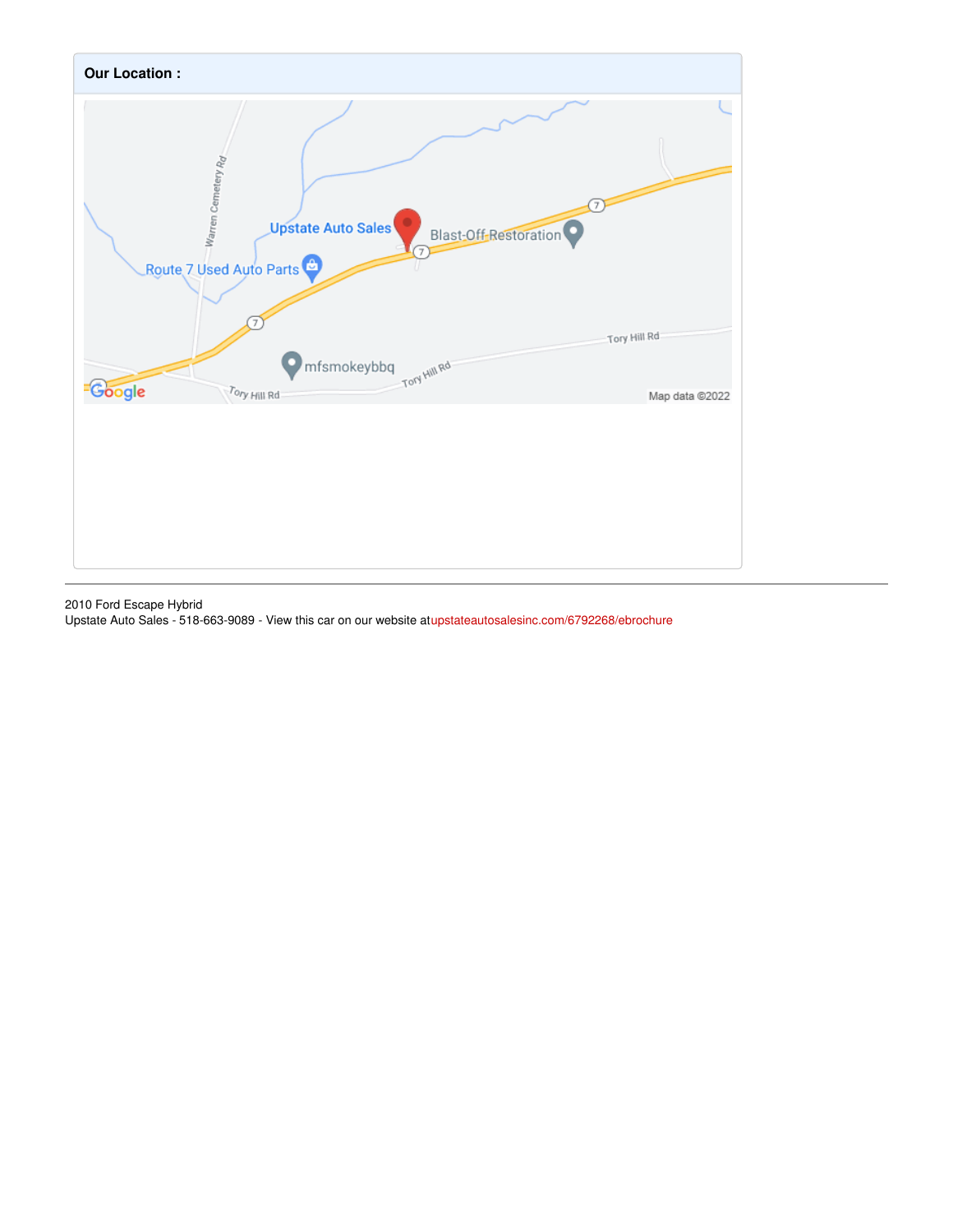

2010 Ford Escape Hybrid

Upstate Auto Sales - 518-663-9089 - View this car on our website a[tupstateautosalesinc.com/6792268/ebrochure](https://upstateautosalesinc.com/vehicle/6792268/2010-ford-escape-hybrid-hoosick-falls-new-york-12090/6792268/ebrochure)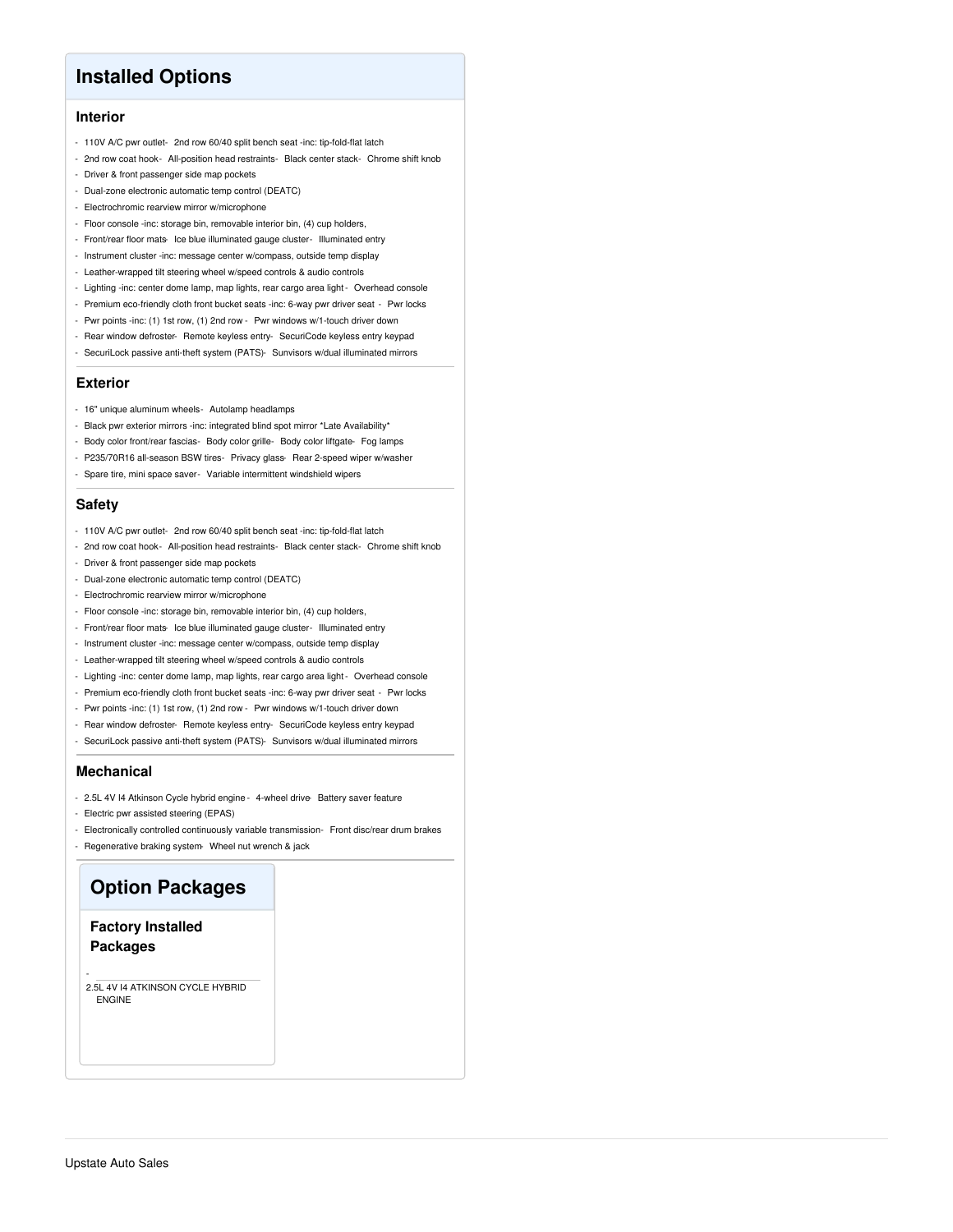# **Installed Options**

## **Interior**

- 110V A/C pwr outlet- 2nd row 60/40 split bench seat -inc: tip-fold-flat latch
- 2nd row coat hook- All-position head restraints- Black center stack- Chrome shift knob
- Driver & front passenger side map pockets
- Dual-zone electronic automatic temp control (DEATC)
- Electrochromic rearview mirror w/microphone
- Floor console -inc: storage bin, removable interior bin, (4) cup holders,
- Front/rear floor mats- Ice blue illuminated gauge cluster- Illuminated entry
- Instrument cluster -inc: message center w/compass, outside temp display
- Leather-wrapped tilt steering wheel w/speed controls & audio controls
- Lighting -inc: center dome lamp, map lights, rear cargo area light- Overhead console
- Premium eco-friendly cloth front bucket seats -inc: 6-way pwr driver seat Pwr locks
- Pwr points -inc: (1) 1st row, (1) 2nd row Pwr windows w/1-touch driver down
- Rear window defroster- Remote keyless entry- SecuriCode keyless entry keypad
- SecuriLock passive anti-theft system (PATS)- Sunvisors w/dual illuminated mirrors

#### **Exterior**

- 16" unique aluminum wheels- Autolamp headlamps
- Black pwr exterior mirrors -inc: integrated blind spot mirror \*Late Availability\*
- Body color front/rear fascias- Body color grille- Body color liftgate- Fog lamps
- P235/70R16 all-season BSW tires- Privacy glass- Rear 2-speed wiper w/washer
- Spare tire, mini space saver- Variable intermittent windshield wipers

### **Safety**

- 110V A/C pwr outlet- 2nd row 60/40 split bench seat -inc: tip-fold-flat latch
- 2nd row coat hook- All-position head restraints- Black center stack- Chrome shift knob
- Driver & front passenger side map pockets
- Dual-zone electronic automatic temp control (DEATC)
- Electrochromic rearview mirror w/microphone
- Floor console -inc: storage bin, removable interior bin, (4) cup holders,
- Front/rear floor mats- Ice blue illuminated gauge cluster- Illuminated entry
- Instrument cluster -inc: message center w/compass, outside temp display
- Leather-wrapped tilt steering wheel w/speed controls & audio controls
- Lighting -inc: center dome lamp, map lights, rear cargo area light- Overhead console
- Premium eco-friendly cloth front bucket seats -inc: 6-way pwr driver seat Pwr locks
- Pwr points -inc: (1) 1st row, (1) 2nd row Pwr windows w/1-touch driver down
- Rear window defroster- Remote keyless entry- SecuriCode keyless entry keypad
- SecuriLock passive anti-theft system (PATS)- Sunvisors w/dual illuminated mirrors

#### **Mechanical**

-

- 2.5L 4V I4 Atkinson Cycle hybrid engine 4-wheel drive- Battery saver feature
- Electric pwr assisted steering (EPAS)
- Electronically controlled continuously variable transmission- Front disc/rear drum brakes
- Regenerative braking system- Wheel nut wrench & jack

# **Option Packages**

## **Factory Installed Packages**

2.5L 4V I4 ATKINSON CYCLE HYBRID ENGINE